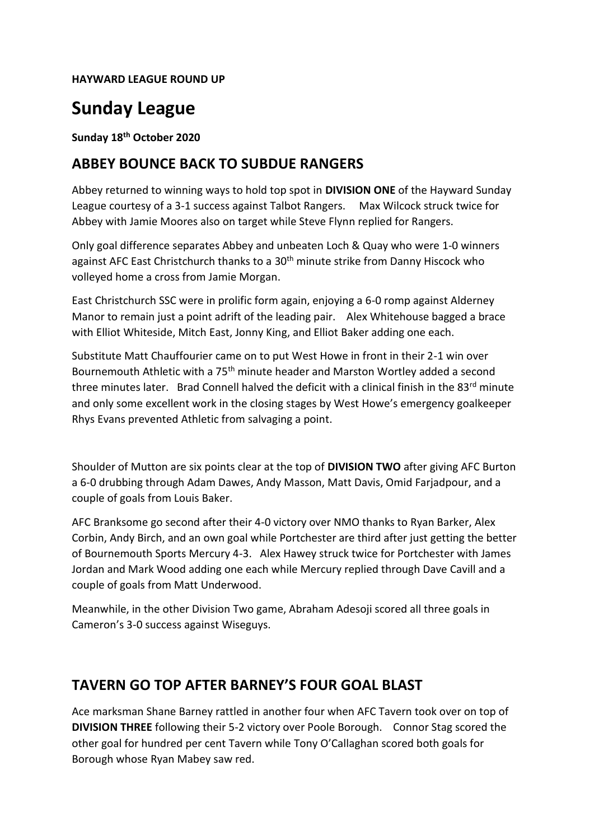#### **HAYWARD LEAGUE ROUND UP**

# **Sunday League**

**Sunday 18th October 2020** 

### **ABBEY BOUNCE BACK TO SUBDUE RANGERS**

Abbey returned to winning ways to hold top spot in **DIVISION ONE** of the Hayward Sunday League courtesy of a 3-1 success against Talbot Rangers. Max Wilcock struck twice for Abbey with Jamie Moores also on target while Steve Flynn replied for Rangers.

Only goal difference separates Abbey and unbeaten Loch & Quay who were 1-0 winners against AFC East Christchurch thanks to a 30<sup>th</sup> minute strike from Danny Hiscock who volleyed home a cross from Jamie Morgan.

East Christchurch SSC were in prolific form again, enjoying a 6-0 romp against Alderney Manor to remain just a point adrift of the leading pair. Alex Whitehouse bagged a brace with Elliot Whiteside, Mitch East, Jonny King, and Elliot Baker adding one each.

Substitute Matt Chauffourier came on to put West Howe in front in their 2-1 win over Bournemouth Athletic with a 75<sup>th</sup> minute header and Marston Wortley added a second three minutes later. Brad Connell halved the deficit with a clinical finish in the 83<sup>rd</sup> minute and only some excellent work in the closing stages by West Howe's emergency goalkeeper Rhys Evans prevented Athletic from salvaging a point.

Shoulder of Mutton are six points clear at the top of **DIVISION TWO** after giving AFC Burton a 6-0 drubbing through Adam Dawes, Andy Masson, Matt Davis, Omid Farjadpour, and a couple of goals from Louis Baker.

AFC Branksome go second after their 4-0 victory over NMO thanks to Ryan Barker, Alex Corbin, Andy Birch, and an own goal while Portchester are third after just getting the better of Bournemouth Sports Mercury 4-3. Alex Hawey struck twice for Portchester with James Jordan and Mark Wood adding one each while Mercury replied through Dave Cavill and a couple of goals from Matt Underwood.

Meanwhile, in the other Division Two game, Abraham Adesoji scored all three goals in Cameron's 3-0 success against Wiseguys.

### **TAVERN GO TOP AFTER BARNEY'S FOUR GOAL BLAST**

Ace marksman Shane Barney rattled in another four when AFC Tavern took over on top of **DIVISION THREE** following their 5-2 victory over Poole Borough. Connor Stag scored the other goal for hundred per cent Tavern while Tony O'Callaghan scored both goals for Borough whose Ryan Mabey saw red.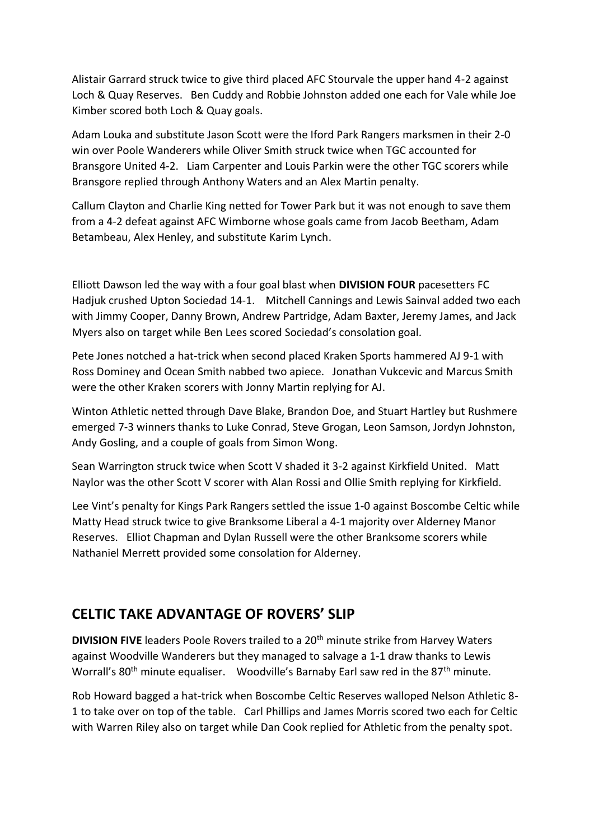Alistair Garrard struck twice to give third placed AFC Stourvale the upper hand 4-2 against Loch & Quay Reserves. Ben Cuddy and Robbie Johnston added one each for Vale while Joe Kimber scored both Loch & Quay goals.

Adam Louka and substitute Jason Scott were the Iford Park Rangers marksmen in their 2-0 win over Poole Wanderers while Oliver Smith struck twice when TGC accounted for Bransgore United 4-2. Liam Carpenter and Louis Parkin were the other TGC scorers while Bransgore replied through Anthony Waters and an Alex Martin penalty.

Callum Clayton and Charlie King netted for Tower Park but it was not enough to save them from a 4-2 defeat against AFC Wimborne whose goals came from Jacob Beetham, Adam Betambeau, Alex Henley, and substitute Karim Lynch.

Elliott Dawson led the way with a four goal blast when **DIVISION FOUR** pacesetters FC Hadjuk crushed Upton Sociedad 14-1. Mitchell Cannings and Lewis Sainval added two each with Jimmy Cooper, Danny Brown, Andrew Partridge, Adam Baxter, Jeremy James, and Jack Myers also on target while Ben Lees scored Sociedad's consolation goal.

Pete Jones notched a hat-trick when second placed Kraken Sports hammered AJ 9-1 with Ross Dominey and Ocean Smith nabbed two apiece. Jonathan Vukcevic and Marcus Smith were the other Kraken scorers with Jonny Martin replying for AJ.

Winton Athletic netted through Dave Blake, Brandon Doe, and Stuart Hartley but Rushmere emerged 7-3 winners thanks to Luke Conrad, Steve Grogan, Leon Samson, Jordyn Johnston, Andy Gosling, and a couple of goals from Simon Wong.

Sean Warrington struck twice when Scott V shaded it 3-2 against Kirkfield United. Matt Naylor was the other Scott V scorer with Alan Rossi and Ollie Smith replying for Kirkfield.

Lee Vint's penalty for Kings Park Rangers settled the issue 1-0 against Boscombe Celtic while Matty Head struck twice to give Branksome Liberal a 4-1 majority over Alderney Manor Reserves. Elliot Chapman and Dylan Russell were the other Branksome scorers while Nathaniel Merrett provided some consolation for Alderney.

## **CELTIC TAKE ADVANTAGE OF ROVERS' SLIP**

**DIVISION FIVE** leaders Poole Rovers trailed to a 20<sup>th</sup> minute strike from Harvey Waters against Woodville Wanderers but they managed to salvage a 1-1 draw thanks to Lewis Worrall's 80<sup>th</sup> minute equaliser. Woodville's Barnaby Earl saw red in the 87<sup>th</sup> minute.

Rob Howard bagged a hat-trick when Boscombe Celtic Reserves walloped Nelson Athletic 8- 1 to take over on top of the table. Carl Phillips and James Morris scored two each for Celtic with Warren Riley also on target while Dan Cook replied for Athletic from the penalty spot.